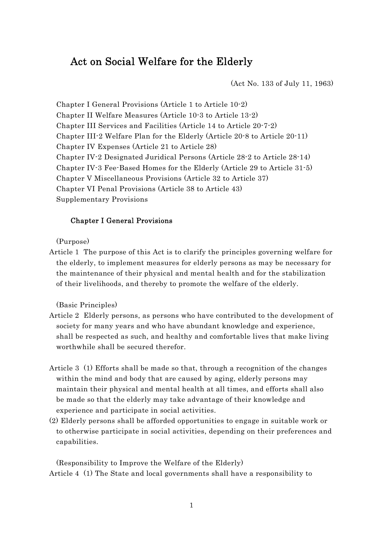# Act on Social Welfare for the Elderly

(Act No. 133 of July 11, 1963)

Chapter I General Provisions (Article 1 to Article 10-2) Chapter II Welfare Measures (Article 10-3 to Article 13-2) Chapter III Services and Facilities (Article 14 to Article 20-7-2) Chapter III-2 Welfare Plan for the Elderly (Article 20-8 to Article 20-11) Chapter IV Expenses (Article 21 to Article 28) Chapter IV-2 Designated Juridical Persons (Article 28-2 to Article 28-14) Chapter IV-3 Fee-Based Homes for the Elderly (Article 29 to Article 31-5) Chapter V Miscellaneous Provisions (Article 32 to Article 37) Chapter VI Penal Provisions (Article 38 to Article 43) Supplementary Provisions

#### Chapter I General Provisions

(Purpose)

Article 1 The purpose of this Act is to clarify the principles governing welfare for the elderly, to implement measures for elderly persons as may be necessary for the maintenance of their physical and mental health and for the stabilization of their livelihoods, and thereby to promote the welfare of the elderly.

(Basic Principles)

- Article 2 Elderly persons, as persons who have contributed to the development of society for many years and who have abundant knowledge and experience, shall be respected as such, and healthy and comfortable lives that make living worthwhile shall be secured therefor.
- Article 3 (1) Efforts shall be made so that, through a recognition of the changes within the mind and body that are caused by aging, elderly persons may maintain their physical and mental health at all times, and efforts shall also be made so that the elderly may take advantage of their knowledge and experience and participate in social activities.
- (2) Elderly persons shall be afforded opportunities to engage in suitable work or to otherwise participate in social activities, depending on their preferences and capabilities.

(Responsibility to Improve the Welfare of the Elderly) Article 4 (1) The State and local governments shall have a responsibility to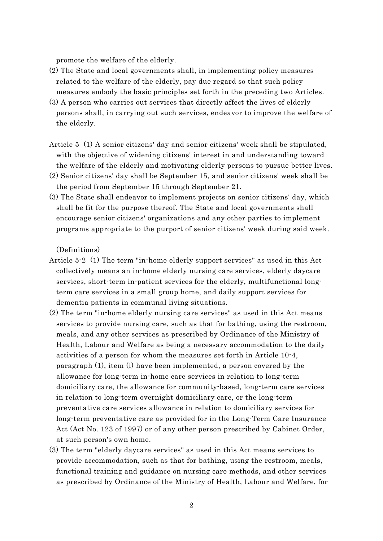promote the welfare of the elderly.

- (2) The State and local governments shall, in implementing policy measures related to the welfare of the elderly, pay due regard so that such policy measures embody the basic principles set forth in the preceding two Articles.
- (3) A person who carries out services that directly affect the lives of elderly persons shall, in carrying out such services, endeavor to improve the welfare of the elderly.
- Article 5 (1) A senior citizens' day and senior citizens' week shall be stipulated, with the objective of widening citizens' interest in and understanding toward the welfare of the elderly and motivating elderly persons to pursue better lives.
- (2) Senior citizens' day shall be September 15, and senior citizens' week shall be the period from September 15 through September 21.
- (3) The State shall endeavor to implement projects on senior citizens' day, which shall be fit for the purpose thereof. The State and local governments shall encourage senior citizens' organizations and any other parties to implement programs appropriate to the purport of senior citizens' week during said week.

(Definitions)

- Article 5-2 (1) The term "in-home elderly support services" as used in this Act collectively means an in-home elderly nursing care services, elderly daycare services, short-term in-patient services for the elderly, multifunctional longterm care services in a small group home, and daily support services for dementia patients in communal living situations.
- (2) The term "in-home elderly nursing care services" as used in this Act means services to provide nursing care, such as that for bathing, using the restroom, meals, and any other services as prescribed by Ordinance of the Ministry of Health, Labour and Welfare as being a necessary accommodation to the daily activities of a person for whom the measures set forth in Article 10-4, paragraph (1), item (i) have been implemented, a person covered by the allowance for long-term in-home care services in relation to long-term domiciliary care, the allowance for community-based, long-term care services in relation to long-term overnight domiciliary care, or the long-term preventative care services allowance in relation to domiciliary services for long-term preventative care as provided for in the Long-Term Care Insurance Act (Act No. 123 of 1997) or of any other person prescribed by Cabinet Order, at such person's own home.
- (3) The term "elderly daycare services" as used in this Act means services to provide accommodation, such as that for bathing, using the restroom, meals, functional training and guidance on nursing care methods, and other services as prescribed by Ordinance of the Ministry of Health, Labour and Welfare, for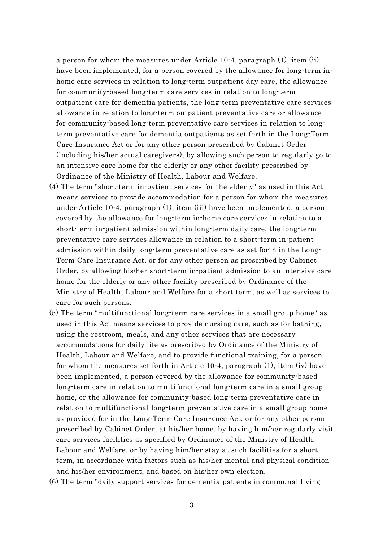a person for whom the measures under Article 10-4, paragraph (1), item (ii) have been implemented, for a person covered by the allowance for long-term inhome care services in relation to long-term outpatient day care, the allowance for community-based long-term care services in relation to long-term outpatient care for dementia patients, the long-term preventative care services allowance in relation to long-term outpatient preventative care or allowance for community-based long-term preventative care services in relation to longterm preventative care for dementia outpatients as set forth in the Long-Term Care Insurance Act or for any other person prescribed by Cabinet Order (including his/her actual caregivers), by allowing such person to regularly go to an intensive care home for the elderly or any other facility prescribed by Ordinance of the Ministry of Health, Labour and Welfare.

- (4) The term "short-term in-patient services for the elderly" as used in this Act means services to provide accommodation for a person for whom the measures under Article 10-4, paragraph (1), item (iii) have been implemented, a person covered by the allowance for long-term in-home care services in relation to a short-term in-patient admission within long-term daily care, the long-term preventative care services allowance in relation to a short-term in-patient admission within daily long-term preventative care as set forth in the Long-Term Care Insurance Act, or for any other person as prescribed by Cabinet Order, by allowing his/her short-term in-patient admission to an intensive care home for the elderly or any other facility prescribed by Ordinance of the Ministry of Health, Labour and Welfare for a short term, as well as services to care for such persons.
- (5) The term "multifunctional long-term care services in a small group home" as used in this Act means services to provide nursing care, such as for bathing, using the restroom, meals, and any other services that are necessary accommodations for daily life as prescribed by Ordinance of the Ministry of Health, Labour and Welfare, and to provide functional training, for a person for whom the measures set forth in Article 10-4, paragraph (1), item (iv) have been implemented, a person covered by the allowance for community-based long-term care in relation to multifunctional long-term care in a small group home, or the allowance for community-based long-term preventative care in relation to multifunctional long-term preventative care in a small group home as provided for in the Long-Term Care Insurance Act, or for any other person prescribed by Cabinet Order, at his/her home, by having him/her regularly visit care services facilities as specified by Ordinance of the Ministry of Health, Labour and Welfare, or by having him/her stay at such facilities for a short term, in accordance with factors such as his/her mental and physical condition and his/her environment, and based on his/her own election.
- (6) The term "daily support services for dementia patients in communal living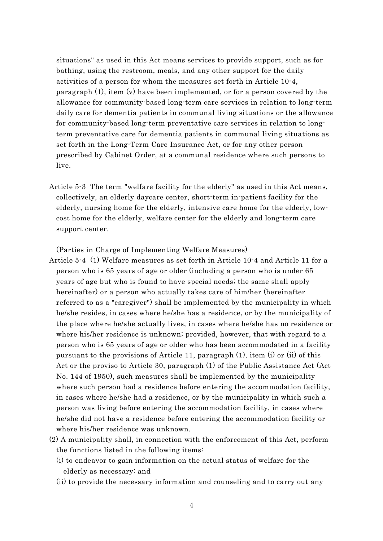situations" as used in this Act means services to provide support, such as for bathing, using the restroom, meals, and any other support for the daily activities of a person for whom the measures set forth in Article 10-4, paragraph (1), item (v) have been implemented, or for a person covered by the allowance for community-based long-term care services in relation to long-term daily care for dementia patients in communal living situations or the allowance for community-based long-term preventative care services in relation to longterm preventative care for dementia patients in communal living situations as set forth in the Long-Term Care Insurance Act, or for any other person prescribed by Cabinet Order, at a communal residence where such persons to live.

Article 5-3 The term "welfare facility for the elderly" as used in this Act means, collectively, an elderly daycare center, short-term in-patient facility for the elderly, nursing home for the elderly, intensive care home for the elderly, lowcost home for the elderly, welfare center for the elderly and long-term care support center.

(Parties in Charge of Implementing Welfare Measures)

- Article 5-4 (1) Welfare measures as set forth in Article 10-4 and Article 11 for a person who is 65 years of age or older (including a person who is under 65 years of age but who is found to have special needs; the same shall apply hereinafter) or a person who actually takes care of him/her (hereinafter referred to as a "caregiver") shall be implemented by the municipality in which he/she resides, in cases where he/she has a residence, or by the municipality of the place where he/she actually lives, in cases where he/she has no residence or where his/her residence is unknown; provided, however, that with regard to a person who is 65 years of age or older who has been accommodated in a facility pursuant to the provisions of Article 11, paragraph (1), item (i) or (ii) of this Act or the proviso to Article 30, paragraph (1) of the Public Assistance Act (Act No. 144 of 1950), such measures shall be implemented by the municipality where such person had a residence before entering the accommodation facility, in cases where he/she had a residence, or by the municipality in which such a person was living before entering the accommodation facility, in cases where he/she did not have a residence before entering the accommodation facility or where his/her residence was unknown.
- (2) A municipality shall, in connection with the enforcement of this Act, perform the functions listed in the following items:
	- (i) to endeavor to gain information on the actual status of welfare for the elderly as necessary; and
	- (ii) to provide the necessary information and counseling and to carry out any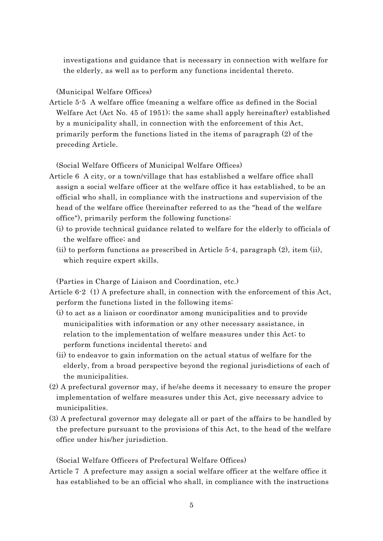investigations and guidance that is necessary in connection with welfare for the elderly, as well as to perform any functions incidental thereto.

(Municipal Welfare Offices)

Article 5-5 A welfare office (meaning a welfare office as defined in the Social Welfare Act (Act No. 45 of 1951); the same shall apply hereinafter) established by a municipality shall, in connection with the enforcement of this Act, primarily perform the functions listed in the items of paragraph (2) of the preceding Article.

(Social Welfare Officers of Municipal Welfare Offices)

- Article 6 A city, or a town/village that has established a welfare office shall assign a social welfare officer at the welfare office it has established, to be an official who shall, in compliance with the instructions and supervision of the head of the welfare office (hereinafter referred to as the "head of the welfare office"), primarily perform the following functions:
	- (i) to provide technical guidance related to welfare for the elderly to officials of the welfare office; and
	- (ii) to perform functions as prescribed in Article 5-4, paragraph  $(2)$ , item (ii), which require expert skills.

(Parties in Charge of Liaison and Coordination, etc.)

Article 6-2 (1) A prefecture shall, in connection with the enforcement of this Act, perform the functions listed in the following items:

- (i) to act as a liaison or coordinator among municipalities and to provide municipalities with information or any other necessary assistance, in relation to the implementation of welfare measures under this Act; to perform functions incidental thereto; and
- (ii) to endeavor to gain information on the actual status of welfare for the elderly, from a broad perspective beyond the regional jurisdictions of each of the municipalities.
- (2) A prefectural governor may, if he/she deems it necessary to ensure the proper implementation of welfare measures under this Act, give necessary advice to municipalities.
- (3) A prefectural governor may delegate all or part of the affairs to be handled by the prefecture pursuant to the provisions of this Act, to the head of the welfare office under his/her jurisdiction.

(Social Welfare Officers of Prefectural Welfare Offices)

Article 7 A prefecture may assign a social welfare officer at the welfare office it has established to be an official who shall, in compliance with the instructions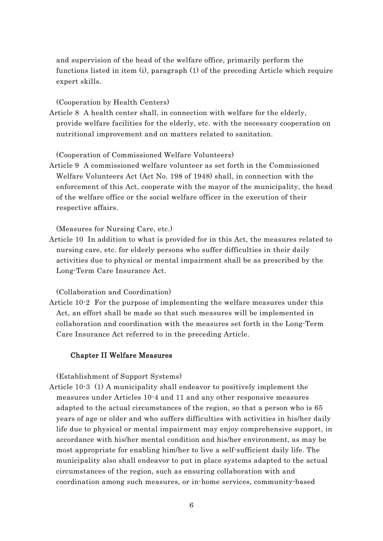and supervision of the head of the welfare office, primarily perform the functions listed in item (i), paragraph (1) of the preceding Article which require expert skills.

(Cooperation by Health Centers)

Article 8 A health center shall, in connection with welfare for the elderly, provide welfare facilities for the elderly, etc. with the necessary cooperation on nutritional improvement and on matters related to sanitation.

(Cooperation of Commissioned Welfare Volunteers)

Article 9 A commissioned welfare volunteer as set forth in the Commissioned Welfare Volunteers Act (Act No. 198 of 1948) shall, in connection with the enforcement of this Act, cooperate with the mayor of the municipality, the head of the welfare office or the social welfare officer in the execution of their respective affairs.

(Measures for Nursing Care, etc.)

Article 10 In addition to what is provided for in this Act, the measures related to nursing care, etc. for elderly persons who suffer difficulties in their daily activities due to physical or mental impairment shall be as prescribed by the Long-Term Care Insurance Act.

(Collaboration and Coordination)

Article 10-2 For the purpose of implementing the welfare measures under this Act, an effort shall be made so that such measures will be implemented in collaboration and coordination with the measures set forth in the Long-Term Care Insurance Act referred to in the preceding Article.

#### Chapter II Welfare Measures

(Establishment of Support Systems)

Article 10-3 (1) A municipality shall endeavor to positively implement the measures under Articles 10-4 and 11 and any other responsive measures adapted to the actual circumstances of the region, so that a person who is 65 years of age or older and who suffers difficulties with activities in his/her daily life due to physical or mental impairment may enjoy comprehensive support, in accordance with his/her mental condition and his/her environment, as may be most appropriate for enabling him/her to live a self-sufficient daily life. The municipality also shall endeavor to put in place systems adapted to the actual circumstances of the region, such as ensuring collaboration with and coordination among such measures, or in-home services, community-based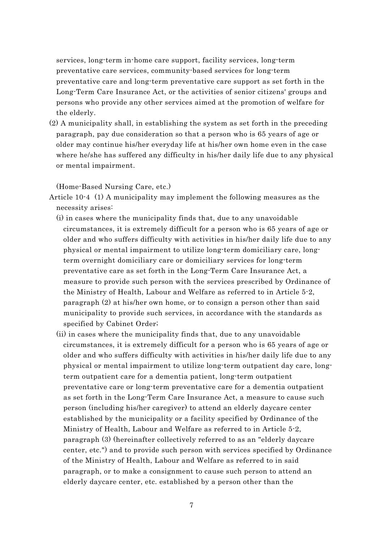services, long-term in-home care support, facility services, long-term preventative care services, community-based services for long-term preventative care and long-term preventative care support as set forth in the Long-Term Care Insurance Act, or the activities of senior citizens' groups and persons who provide any other services aimed at the promotion of welfare for the elderly.

(2) A municipality shall, in establishing the system as set forth in the preceding paragraph, pay due consideration so that a person who is 65 years of age or older may continue his/her everyday life at his/her own home even in the case where he/she has suffered any difficulty in his/her daily life due to any physical or mental impairment.

(Home-Based Nursing Care, etc.)

- Article 10-4 (1) A municipality may implement the following measures as the necessity arises:
	- (i) in cases where the municipality finds that, due to any unavoidable circumstances, it is extremely difficult for a person who is 65 years of age or older and who suffers difficulty with activities in his/her daily life due to any physical or mental impairment to utilize long-term domiciliary care, longterm overnight domiciliary care or domiciliary services for long-term preventative care as set forth in the Long-Term Care Insurance Act, a measure to provide such person with the services prescribed by Ordinance of the Ministry of Health, Labour and Welfare as referred to in Article 5-2, paragraph (2) at his/her own home, or to consign a person other than said municipality to provide such services, in accordance with the standards as specified by Cabinet Order;
	- (ii) in cases where the municipality finds that, due to any unavoidable circumstances, it is extremely difficult for a person who is 65 years of age or older and who suffers difficulty with activities in his/her daily life due to any physical or mental impairment to utilize long-term outpatient day care, longterm outpatient care for a dementia patient, long-term outpatient preventative care or long-term preventative care for a dementia outpatient as set forth in the Long-Term Care Insurance Act, a measure to cause such person (including his/her caregiver) to attend an elderly daycare center established by the municipality or a facility specified by Ordinance of the Ministry of Health, Labour and Welfare as referred to in Article 5-2, paragraph (3) (hereinafter collectively referred to as an "elderly daycare center, etc.") and to provide such person with services specified by Ordinance of the Ministry of Health, Labour and Welfare as referred to in said paragraph, or to make a consignment to cause such person to attend an elderly daycare center, etc. established by a person other than the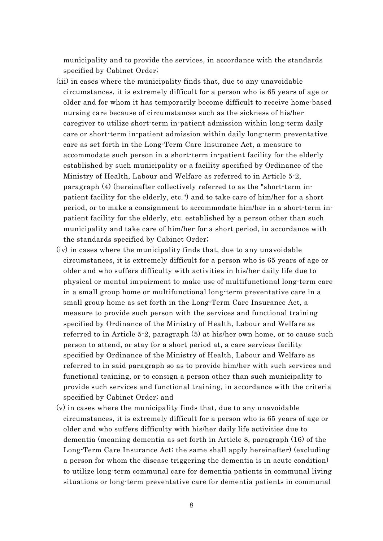municipality and to provide the services, in accordance with the standards specified by Cabinet Order;

- (iii) in cases where the municipality finds that, due to any unavoidable circumstances, it is extremely difficult for a person who is 65 years of age or older and for whom it has temporarily become difficult to receive home-based nursing care because of circumstances such as the sickness of his/her caregiver to utilize short-term in-patient admission within long-term daily care or short-term in-patient admission within daily long-term preventative care as set forth in the Long-Term Care Insurance Act, a measure to accommodate such person in a short-term in-patient facility for the elderly established by such municipality or a facility specified by Ordinance of the Ministry of Health, Labour and Welfare as referred to in Article 5-2, paragraph (4) (hereinafter collectively referred to as the "short-term inpatient facility for the elderly, etc.") and to take care of him/her for a short period, or to make a consignment to accommodate him/her in a short-term inpatient facility for the elderly, etc. established by a person other than such municipality and take care of him/her for a short period, in accordance with the standards specified by Cabinet Order;
- (iv) in cases where the municipality finds that, due to any unavoidable circumstances, it is extremely difficult for a person who is 65 years of age or older and who suffers difficulty with activities in his/her daily life due to physical or mental impairment to make use of multifunctional long-term care in a small group home or multifunctional long-term preventative care in a small group home as set forth in the Long-Term Care Insurance Act, a measure to provide such person with the services and functional training specified by Ordinance of the Ministry of Health, Labour and Welfare as referred to in Article 5-2, paragraph (5) at his/her own home, or to cause such person to attend, or stay for a short period at, a care services facility specified by Ordinance of the Ministry of Health, Labour and Welfare as referred to in said paragraph so as to provide him/her with such services and functional training, or to consign a person other than such municipality to provide such services and functional training, in accordance with the criteria specified by Cabinet Order; and
- (v) in cases where the municipality finds that, due to any unavoidable circumstances, it is extremely difficult for a person who is 65 years of age or older and who suffers difficulty with his/her daily life activities due to dementia (meaning dementia as set forth in Article 8, paragraph (16) of the Long-Term Care Insurance Act; the same shall apply hereinafter) (excluding a person for whom the disease triggering the dementia is in acute condition) to utilize long-term communal care for dementia patients in communal living situations or long-term preventative care for dementia patients in communal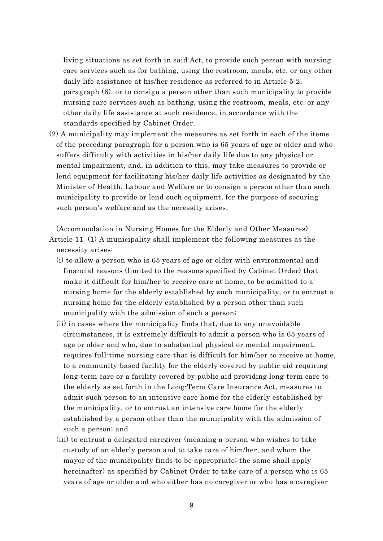living situations as set forth in said Act, to provide such person with nursing care services such as for bathing, using the restroom, meals, etc. or any other daily life assistance at his/her residence as referred to in Article 5-2, paragraph (6), or to consign a person other than such municipality to provide nursing care services such as bathing, using the restroom, meals, etc. or any other daily life assistance at such residence, in accordance with the standards specified by Cabinet Order.

(2) A municipality may implement the measures as set forth in each of the items of the preceding paragraph for a person who is 65 years of age or older and who suffers difficulty with activities in his/her daily life due to any physical or mental impairment, and, in addition to this, may take measures to provide or lend equipment for facilitating his/her daily life activities as designated by the Minister of Health, Labour and Welfare or to consign a person other than such municipality to provide or lend such equipment, for the purpose of securing such person's welfare and as the necessity arises.

(Accommodation in Nursing Homes for the Elderly and Other Measures) Article 11 (1) A municipality shall implement the following measures as the necessity arises:

- (i) to allow a person who is 65 years of age or older with environmental and financial reasons (limited to the reasons specified by Cabinet Order) that make it difficult for him/her to receive care at home, to be admitted to a nursing home for the elderly established by such municipality, or to entrust a nursing home for the elderly established by a person other than such municipality with the admission of such a person;
- (ii) in cases where the municipality finds that, due to any unavoidable circumstances, it is extremely difficult to admit a person who is 65 years of age or older and who, due to substantial physical or mental impairment, requires full-time nursing care that is difficult for him/her to receive at home, to a community-based facility for the elderly covered by public aid requiring long-term care or a facility covered by public aid providing long-term care to the elderly as set forth in the Long-Term Care Insurance Act, measures to admit such person to an intensive care home for the elderly established by the municipality, or to entrust an intensive care home for the elderly established by a person other than the municipality with the admission of such a person; and
- (iii) to entrust a delegated caregiver (meaning a person who wishes to take custody of an elderly person and to take care of him/her, and whom the mayor of the municipality finds to be appropriate; the same shall apply hereinafter) as specified by Cabinet Order to take care of a person who is 65 years of age or older and who either has no caregiver or who has a caregiver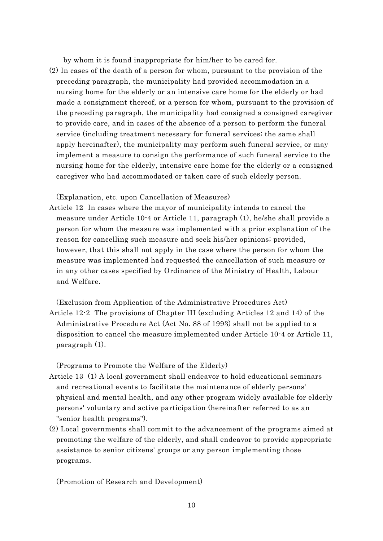by whom it is found inappropriate for him/her to be cared for.

(2) In cases of the death of a person for whom, pursuant to the provision of the preceding paragraph, the municipality had provided accommodation in a nursing home for the elderly or an intensive care home for the elderly or had made a consignment thereof, or a person for whom, pursuant to the provision of the preceding paragraph, the municipality had consigned a consigned caregiver to provide care, and in cases of the absence of a person to perform the funeral service (including treatment necessary for funeral services; the same shall apply hereinafter), the municipality may perform such funeral service, or may implement a measure to consign the performance of such funeral service to the nursing home for the elderly, intensive care home for the elderly or a consigned caregiver who had accommodated or taken care of such elderly person.

(Explanation, etc. upon Cancellation of Measures)

- Article 12 In cases where the mayor of municipality intends to cancel the measure under Article 10-4 or Article 11, paragraph (1), he/she shall provide a person for whom the measure was implemented with a prior explanation of the reason for cancelling such measure and seek his/her opinions; provided, however, that this shall not apply in the case where the person for whom the measure was implemented had requested the cancellation of such measure or in any other cases specified by Ordinance of the Ministry of Health, Labour and Welfare.
- (Exclusion from Application of the Administrative Procedures Act) Article 12-2 The provisions of Chapter III (excluding Articles 12 and 14) of the Administrative Procedure Act (Act No. 88 of 1993) shall not be applied to a disposition to cancel the measure implemented under Article 10-4 or Article 11, paragraph (1).

(Programs to Promote the Welfare of the Elderly)

- Article 13 (1) A local government shall endeavor to hold educational seminars and recreational events to facilitate the maintenance of elderly persons' physical and mental health, and any other program widely available for elderly persons' voluntary and active participation (hereinafter referred to as an "senior health programs").
- (2) Local governments shall commit to the advancement of the programs aimed at promoting the welfare of the elderly, and shall endeavor to provide appropriate assistance to senior citizens' groups or any person implementing those programs.

(Promotion of Research and Development)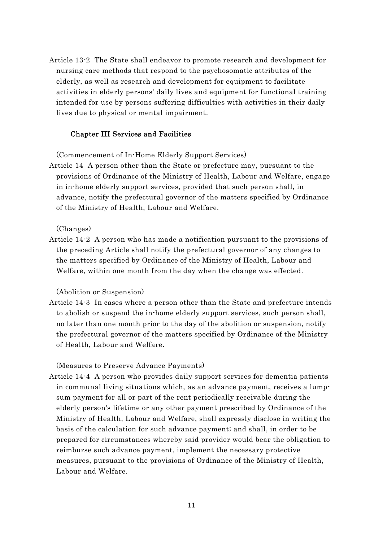Article 13-2 The State shall endeavor to promote research and development for nursing care methods that respond to the psychosomatic attributes of the elderly, as well as research and development for equipment to facilitate activities in elderly persons' daily lives and equipment for functional training intended for use by persons suffering difficulties with activities in their daily lives due to physical or mental impairment.

#### Chapter III Services and Facilities

(Commencement of In-Home Elderly Support Services)

Article 14 A person other than the State or prefecture may, pursuant to the provisions of Ordinance of the Ministry of Health, Labour and Welfare, engage in in-home elderly support services, provided that such person shall, in advance, notify the prefectural governor of the matters specified by Ordinance of the Ministry of Health, Labour and Welfare.

#### (Changes)

Article 14-2 A person who has made a notification pursuant to the provisions of the preceding Article shall notify the prefectural governor of any changes to the matters specified by Ordinance of the Ministry of Health, Labour and Welfare, within one month from the day when the change was effected.

#### (Abolition or Suspension)

Article 14-3 In cases where a person other than the State and prefecture intends to abolish or suspend the in-home elderly support services, such person shall, no later than one month prior to the day of the abolition or suspension, notify the prefectural governor of the matters specified by Ordinance of the Ministry of Health, Labour and Welfare.

#### (Measures to Preserve Advance Payments)

Article 14-4 A person who provides daily support services for dementia patients in communal living situations which, as an advance payment, receives a lumpsum payment for all or part of the rent periodically receivable during the elderly person's lifetime or any other payment prescribed by Ordinance of the Ministry of Health, Labour and Welfare, shall expressly disclose in writing the basis of the calculation for such advance payment; and shall, in order to be prepared for circumstances whereby said provider would bear the obligation to reimburse such advance payment, implement the necessary protective measures, pursuant to the provisions of Ordinance of the Ministry of Health, Labour and Welfare.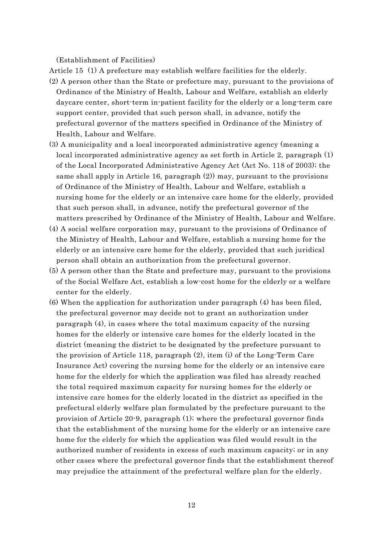(Establishment of Facilities)

Article 15 (1) A prefecture may establish welfare facilities for the elderly.

- (2) A person other than the State or prefecture may, pursuant to the provisions of Ordinance of the Ministry of Health, Labour and Welfare, establish an elderly daycare center, short-term in-patient facility for the elderly or a long-term care support center, provided that such person shall, in advance, notify the prefectural governor of the matters specified in Ordinance of the Ministry of Health, Labour and Welfare.
- (3) A municipality and a local incorporated administrative agency (meaning a local incorporated administrative agency as set forth in Article 2, paragraph (1) of the Local Incorporated Administrative Agency Act (Act No. 118 of 2003); the same shall apply in Article 16, paragraph (2)) may, pursuant to the provisions of Ordinance of the Ministry of Health, Labour and Welfare, establish a nursing home for the elderly or an intensive care home for the elderly, provided that such person shall, in advance, notify the prefectural governor of the matters prescribed by Ordinance of the Ministry of Health, Labour and Welfare.
- (4) A social welfare corporation may, pursuant to the provisions of Ordinance of the Ministry of Health, Labour and Welfare, establish a nursing home for the elderly or an intensive care home for the elderly, provided that such juridical person shall obtain an authorization from the prefectural governor.
- (5) A person other than the State and prefecture may, pursuant to the provisions of the Social Welfare Act, establish a low-cost home for the elderly or a welfare center for the elderly.
- (6) When the application for authorization under paragraph (4) has been filed, the prefectural governor may decide not to grant an authorization under paragraph (4), in cases where the total maximum capacity of the nursing homes for the elderly or intensive care homes for the elderly located in the district (meaning the district to be designated by the prefecture pursuant to the provision of Article 118, paragraph (2), item (i) of the Long-Term Care Insurance Act) covering the nursing home for the elderly or an intensive care home for the elderly for which the application was filed has already reached the total required maximum capacity for nursing homes for the elderly or intensive care homes for the elderly located in the district as specified in the prefectural elderly welfare plan formulated by the prefecture pursuant to the provision of Article 20-9, paragraph (1); where the prefectural governor finds that the establishment of the nursing home for the elderly or an intensive care home for the elderly for which the application was filed would result in the authorized number of residents in excess of such maximum capacity; or in any other cases where the prefectural governor finds that the establishment thereof may prejudice the attainment of the prefectural welfare plan for the elderly.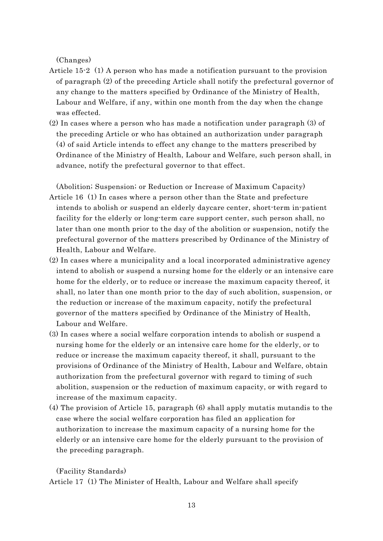(Changes)

- Article 15-2 (1) A person who has made a notification pursuant to the provision of paragraph (2) of the preceding Article shall notify the prefectural governor of any change to the matters specified by Ordinance of the Ministry of Health, Labour and Welfare, if any, within one month from the day when the change was effected.
- (2) In cases where a person who has made a notification under paragraph (3) of the preceding Article or who has obtained an authorization under paragraph (4) of said Article intends to effect any change to the matters prescribed by Ordinance of the Ministry of Health, Labour and Welfare, such person shall, in advance, notify the prefectural governor to that effect.

(Abolition; Suspension; or Reduction or Increase of Maximum Capacity) Article 16 (1) In cases where a person other than the State and prefecture intends to abolish or suspend an elderly daycare center, short-term in-patient facility for the elderly or long-term care support center, such person shall, no later than one month prior to the day of the abolition or suspension, notify the prefectural governor of the matters prescribed by Ordinance of the Ministry of Health, Labour and Welfare.

- (2) In cases where a municipality and a local incorporated administrative agency intend to abolish or suspend a nursing home for the elderly or an intensive care home for the elderly, or to reduce or increase the maximum capacity thereof, it shall, no later than one month prior to the day of such abolition, suspension, or the reduction or increase of the maximum capacity, notify the prefectural governor of the matters specified by Ordinance of the Ministry of Health, Labour and Welfare.
- (3) In cases where a social welfare corporation intends to abolish or suspend a nursing home for the elderly or an intensive care home for the elderly, or to reduce or increase the maximum capacity thereof, it shall, pursuant to the provisions of Ordinance of the Ministry of Health, Labour and Welfare, obtain authorization from the prefectural governor with regard to timing of such abolition, suspension or the reduction of maximum capacity, or with regard to increase of the maximum capacity.
- (4) The provision of Article 15, paragraph (6) shall apply mutatis mutandis to the case where the social welfare corporation has filed an application for authorization to increase the maximum capacity of a nursing home for the elderly or an intensive care home for the elderly pursuant to the provision of the preceding paragraph.

(Facility Standards)

Article 17 (1) The Minister of Health, Labour and Welfare shall specify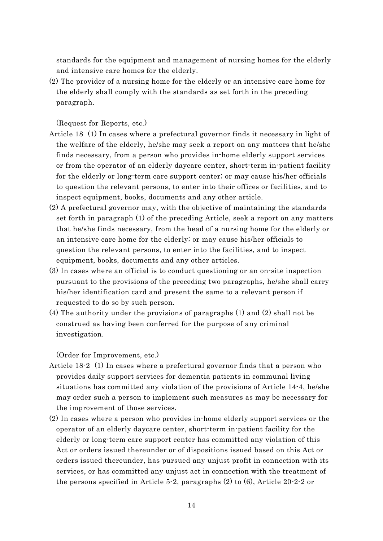standards for the equipment and management of nursing homes for the elderly and intensive care homes for the elderly.

(2) The provider of a nursing home for the elderly or an intensive care home for the elderly shall comply with the standards as set forth in the preceding paragraph.

(Request for Reports, etc.)

- Article 18 (1) In cases where a prefectural governor finds it necessary in light of the welfare of the elderly, he/she may seek a report on any matters that he/she finds necessary, from a person who provides in-home elderly support services or from the operator of an elderly daycare center, short-term in-patient facility for the elderly or long-term care support center; or may cause his/her officials to question the relevant persons, to enter into their offices or facilities, and to inspect equipment, books, documents and any other article.
- (2) A prefectural governor may, with the objective of maintaining the standards set forth in paragraph (1) of the preceding Article, seek a report on any matters that he/she finds necessary, from the head of a nursing home for the elderly or an intensive care home for the elderly; or may cause his/her officials to question the relevant persons, to enter into the facilities, and to inspect equipment, books, documents and any other articles.
- (3) In cases where an official is to conduct questioning or an on-site inspection pursuant to the provisions of the preceding two paragraphs, he/she shall carry his/her identification card and present the same to a relevant person if requested to do so by such person.
- (4) The authority under the provisions of paragraphs (1) and (2) shall not be construed as having been conferred for the purpose of any criminal investigation.

(Order for Improvement, etc.)

- Article 18-2 (1) In cases where a prefectural governor finds that a person who provides daily support services for dementia patients in communal living situations has committed any violation of the provisions of Article 14-4, he/she may order such a person to implement such measures as may be necessary for the improvement of those services.
- (2) In cases where a person who provides in-home elderly support services or the operator of an elderly daycare center, short-term in-patient facility for the elderly or long-term care support center has committed any violation of this Act or orders issued thereunder or of dispositions issued based on this Act or orders issued thereunder, has pursued any unjust profit in connection with its services, or has committed any unjust act in connection with the treatment of the persons specified in Article 5-2, paragraphs (2) to (6), Article 20-2-2 or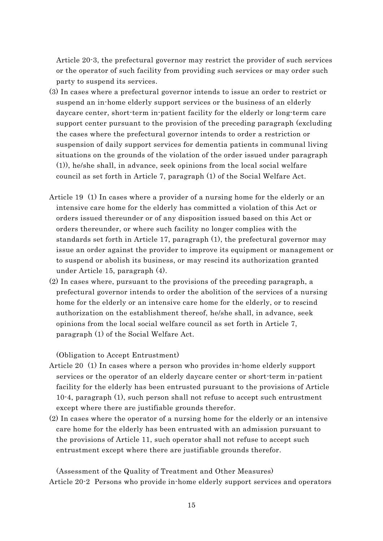Article 20-3, the prefectural governor may restrict the provider of such services or the operator of such facility from providing such services or may order such party to suspend its services.

- (3) In cases where a prefectural governor intends to issue an order to restrict or suspend an in-home elderly support services or the business of an elderly daycare center, short-term in-patient facility for the elderly or long-term care support center pursuant to the provision of the preceding paragraph (excluding the cases where the prefectural governor intends to order a restriction or suspension of daily support services for dementia patients in communal living situations on the grounds of the violation of the order issued under paragraph (1)), he/she shall, in advance, seek opinions from the local social welfare council as set forth in Article 7, paragraph (1) of the Social Welfare Act.
- Article 19 (1) In cases where a provider of a nursing home for the elderly or an intensive care home for the elderly has committed a violation of this Act or orders issued thereunder or of any disposition issued based on this Act or orders thereunder, or where such facility no longer complies with the standards set forth in Article 17, paragraph (1), the prefectural governor may issue an order against the provider to improve its equipment or management or to suspend or abolish its business, or may rescind its authorization granted under Article 15, paragraph (4).
- (2) In cases where, pursuant to the provisions of the preceding paragraph, a prefectural governor intends to order the abolition of the services of a nursing home for the elderly or an intensive care home for the elderly, or to rescind authorization on the establishment thereof, he/she shall, in advance, seek opinions from the local social welfare council as set forth in Article 7, paragraph (1) of the Social Welfare Act.

(Obligation to Accept Entrustment)

- Article 20 (1) In cases where a person who provides in-home elderly support services or the operator of an elderly daycare center or short-term in-patient facility for the elderly has been entrusted pursuant to the provisions of Article 10-4, paragraph (1), such person shall not refuse to accept such entrustment except where there are justifiable grounds therefor.
- (2) In cases where the operator of a nursing home for the elderly or an intensive care home for the elderly has been entrusted with an admission pursuant to the provisions of Article 11, such operator shall not refuse to accept such entrustment except where there are justifiable grounds therefor.

(Assessment of the Quality of Treatment and Other Measures) Article 20-2 Persons who provide in-home elderly support services and operators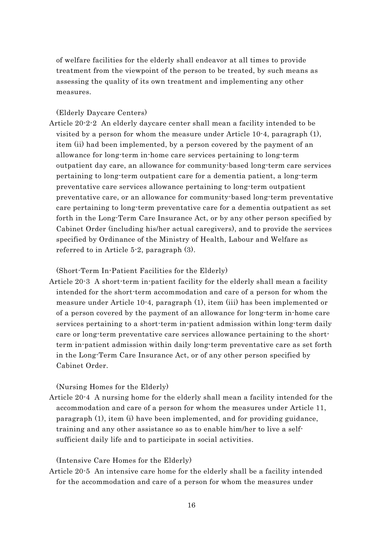of welfare facilities for the elderly shall endeavor at all times to provide treatment from the viewpoint of the person to be treated, by such means as assessing the quality of its own treatment and implementing any other measures.

(Elderly Daycare Centers)

Article 20-2-2 An elderly daycare center shall mean a facility intended to be visited by a person for whom the measure under Article 10-4, paragraph (1), item (ii) had been implemented, by a person covered by the payment of an allowance for long-term in-home care services pertaining to long-term outpatient day care, an allowance for community-based long-term care services pertaining to long-term outpatient care for a dementia patient, a long-term preventative care services allowance pertaining to long-term outpatient preventative care, or an allowance for community-based long-term preventative care pertaining to long-term preventative care for a dementia outpatient as set forth in the Long-Term Care Insurance Act, or by any other person specified by Cabinet Order (including his/her actual caregivers), and to provide the services specified by Ordinance of the Ministry of Health, Labour and Welfare as referred to in Article 5-2, paragraph (3).

(Short-Term In-Patient Facilities for the Elderly)

Article 20-3 A short-term in-patient facility for the elderly shall mean a facility intended for the short-term accommodation and care of a person for whom the measure under Article 10-4, paragraph (1), item (iii) has been implemented or of a person covered by the payment of an allowance for long-term in-home care services pertaining to a short-term in-patient admission within long-term daily care or long-term preventative care services allowance pertaining to the shortterm in-patient admission within daily long-term preventative care as set forth in the Long-Term Care Insurance Act, or of any other person specified by Cabinet Order.

(Nursing Homes for the Elderly)

Article 20-4 A nursing home for the elderly shall mean a facility intended for the accommodation and care of a person for whom the measures under Article 11, paragraph (1), item (i) have been implemented, and for providing guidance, training and any other assistance so as to enable him/her to live a selfsufficient daily life and to participate in social activities.

(Intensive Care Homes for the Elderly)

Article 20-5 An intensive care home for the elderly shall be a facility intended for the accommodation and care of a person for whom the measures under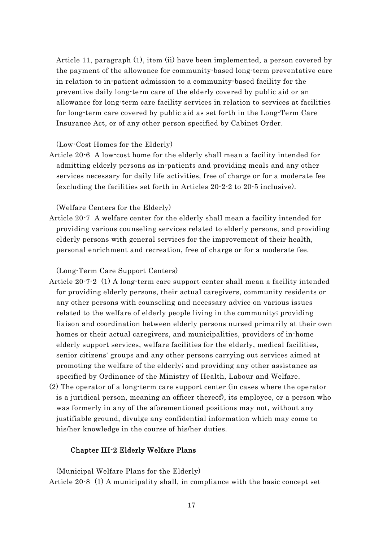Article 11, paragraph (1), item (ii) have been implemented, a person covered by the payment of the allowance for community-based long-term preventative care in relation to in-patient admission to a community-based facility for the preventive daily long-term care of the elderly covered by public aid or an allowance for long-term care facility services in relation to services at facilities for long-term care covered by public aid as set forth in the Long-Term Care Insurance Act, or of any other person specified by Cabinet Order.

# (Low-Cost Homes for the Elderly)

Article 20-6 A low-cost home for the elderly shall mean a facility intended for admitting elderly persons as in-patients and providing meals and any other services necessary for daily life activities, free of charge or for a moderate fee (excluding the facilities set forth in Articles 20-2-2 to 20-5 inclusive).

(Welfare Centers for the Elderly)

Article 20-7 A welfare center for the elderly shall mean a facility intended for providing various counseling services related to elderly persons, and providing elderly persons with general services for the improvement of their health, personal enrichment and recreation, free of charge or for a moderate fee.

(Long-Term Care Support Centers)

- Article 20-7-2 (1) A long-term care support center shall mean a facility intended for providing elderly persons, their actual caregivers, community residents or any other persons with counseling and necessary advice on various issues related to the welfare of elderly people living in the community; providing liaison and coordination between elderly persons nursed primarily at their own homes or their actual caregivers, and municipalities, providers of in-home elderly support services, welfare facilities for the elderly, medical facilities, senior citizens' groups and any other persons carrying out services aimed at promoting the welfare of the elderly; and providing any other assistance as specified by Ordinance of the Ministry of Health, Labour and Welfare.
- (2) The operator of a long-term care support center (in cases where the operator is a juridical person, meaning an officer thereof), its employee, or a person who was formerly in any of the aforementioned positions may not, without any justifiable ground, divulge any confidential information which may come to his/her knowledge in the course of his/her duties.

# Chapter III-2 Elderly Welfare Plans

(Municipal Welfare Plans for the Elderly) Article 20-8 (1) A municipality shall, in compliance with the basic concept set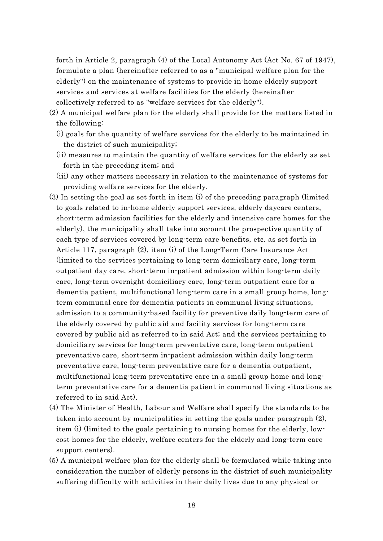forth in Article 2, paragraph (4) of the Local Autonomy Act (Act No. 67 of 1947), formulate a plan (hereinafter referred to as a "municipal welfare plan for the elderly") on the maintenance of systems to provide in-home elderly support services and services at welfare facilities for the elderly (hereinafter collectively referred to as "welfare services for the elderly").

- (2) A municipal welfare plan for the elderly shall provide for the matters listed in the following:
	- (i) goals for the quantity of welfare services for the elderly to be maintained in the district of such municipality;
	- (ii) measures to maintain the quantity of welfare services for the elderly as set forth in the preceding item; and
	- (iii) any other matters necessary in relation to the maintenance of systems for providing welfare services for the elderly.
- (3) In setting the goal as set forth in item (i) of the preceding paragraph (limited to goals related to in-home elderly support services, elderly daycare centers, short-term admission facilities for the elderly and intensive care homes for the elderly), the municipality shall take into account the prospective quantity of each type of services covered by long-term care benefits, etc. as set forth in Article 117, paragraph (2), item (i) of the Long-Term Care Insurance Act (limited to the services pertaining to long-term domiciliary care, long-term outpatient day care, short-term in-patient admission within long-term daily care, long-term overnight domiciliary care, long-term outpatient care for a dementia patient, multifunctional long-term care in a small group home, longterm communal care for dementia patients in communal living situations, admission to a community-based facility for preventive daily long-term care of the elderly covered by public aid and facility services for long-term care covered by public aid as referred to in said Act; and the services pertaining to domiciliary services for long-term preventative care, long-term outpatient preventative care, short-term in-patient admission within daily long-term preventative care, long-term preventative care for a dementia outpatient, multifunctional long-term preventative care in a small group home and longterm preventative care for a dementia patient in communal living situations as referred to in said Act).
- (4) The Minister of Health, Labour and Welfare shall specify the standards to be taken into account by municipalities in setting the goals under paragraph (2), item (i) (limited to the goals pertaining to nursing homes for the elderly, lowcost homes for the elderly, welfare centers for the elderly and long-term care support centers).
- (5) A municipal welfare plan for the elderly shall be formulated while taking into consideration the number of elderly persons in the district of such municipality suffering difficulty with activities in their daily lives due to any physical or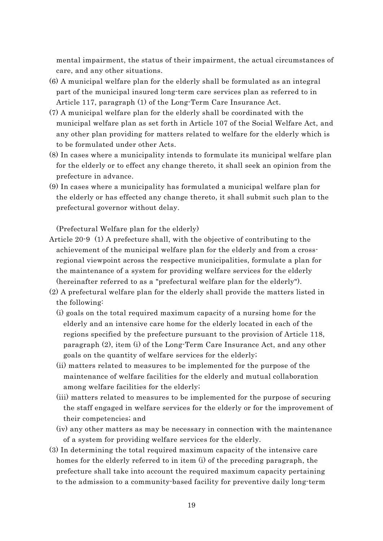mental impairment, the status of their impairment, the actual circumstances of care, and any other situations.

- (6) A municipal welfare plan for the elderly shall be formulated as an integral part of the municipal insured long-term care services plan as referred to in Article 117, paragraph (1) of the Long-Term Care Insurance Act.
- (7) A municipal welfare plan for the elderly shall be coordinated with the municipal welfare plan as set forth in Article 107 of the Social Welfare Act, and any other plan providing for matters related to welfare for the elderly which is to be formulated under other Acts.
- (8) In cases where a municipality intends to formulate its municipal welfare plan for the elderly or to effect any change thereto, it shall seek an opinion from the prefecture in advance.
- (9) In cases where a municipality has formulated a municipal welfare plan for the elderly or has effected any change thereto, it shall submit such plan to the prefectural governor without delay.

(Prefectural Welfare plan for the elderly)

- Article 20-9 (1) A prefecture shall, with the objective of contributing to the achievement of the municipal welfare plan for the elderly and from a crossregional viewpoint across the respective municipalities, formulate a plan for the maintenance of a system for providing welfare services for the elderly (hereinafter referred to as a "prefectural welfare plan for the elderly").
- (2) A prefectural welfare plan for the elderly shall provide the matters listed in the following:
	- (i) goals on the total required maximum capacity of a nursing home for the elderly and an intensive care home for the elderly located in each of the regions specified by the prefecture pursuant to the provision of Article 118, paragraph (2), item (i) of the Long-Term Care Insurance Act, and any other goals on the quantity of welfare services for the elderly;
	- (ii) matters related to measures to be implemented for the purpose of the maintenance of welfare facilities for the elderly and mutual collaboration among welfare facilities for the elderly;
	- (iii) matters related to measures to be implemented for the purpose of securing the staff engaged in welfare services for the elderly or for the improvement of their competencies; and
	- (iv) any other matters as may be necessary in connection with the maintenance of a system for providing welfare services for the elderly.
- (3) In determining the total required maximum capacity of the intensive care homes for the elderly referred to in item (i) of the preceding paragraph, the prefecture shall take into account the required maximum capacity pertaining to the admission to a community-based facility for preventive daily long-term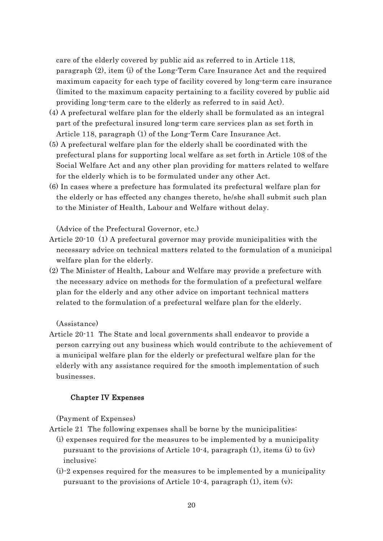care of the elderly covered by public aid as referred to in Article 118, paragraph (2), item (i) of the Long-Term Care Insurance Act and the required maximum capacity for each type of facility covered by long-term care insurance (limited to the maximum capacity pertaining to a facility covered by public aid providing long-term care to the elderly as referred to in said Act).

- (4) A prefectural welfare plan for the elderly shall be formulated as an integral part of the prefectural insured long-term care services plan as set forth in Article 118, paragraph (1) of the Long-Term Care Insurance Act.
- (5) A prefectural welfare plan for the elderly shall be coordinated with the prefectural plans for supporting local welfare as set forth in Article 108 of the Social Welfare Act and any other plan providing for matters related to welfare for the elderly which is to be formulated under any other Act.
- (6) In cases where a prefecture has formulated its prefectural welfare plan for the elderly or has effected any changes thereto, he/she shall submit such plan to the Minister of Health, Labour and Welfare without delay.

(Advice of the Prefectural Governor, etc.)

- Article 20-10 (1) A prefectural governor may provide municipalities with the necessary advice on technical matters related to the formulation of a municipal welfare plan for the elderly.
- (2) The Minister of Health, Labour and Welfare may provide a prefecture with the necessary advice on methods for the formulation of a prefectural welfare plan for the elderly and any other advice on important technical matters related to the formulation of a prefectural welfare plan for the elderly.

(Assistance)

Article 20-11 The State and local governments shall endeavor to provide a person carrying out any business which would contribute to the achievement of a municipal welfare plan for the elderly or prefectural welfare plan for the elderly with any assistance required for the smooth implementation of such businesses.

# Chapter IV Expenses

(Payment of Expenses)

- Article 21 The following expenses shall be borne by the municipalities:
	- (i) expenses required for the measures to be implemented by a municipality pursuant to the provisions of Article 10-4, paragraph  $(1)$ , items  $(i)$  to  $(iv)$ inclusive;
	- (i)-2 expenses required for the measures to be implemented by a municipality pursuant to the provisions of Article 10-4, paragraph (1), item (v);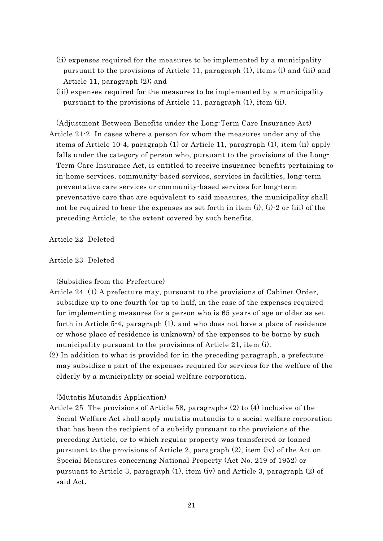- (ii) expenses required for the measures to be implemented by a municipality pursuant to the provisions of Article 11, paragraph (1), items (i) and (iii) and Article 11, paragraph (2); and
- (iii) expenses required for the measures to be implemented by a municipality pursuant to the provisions of Article 11, paragraph (1), item (ii).

(Adjustment Between Benefits under the Long-Term Care Insurance Act) Article 21-2 In cases where a person for whom the measures under any of the items of Article 10-4, paragraph (1) or Article 11, paragraph (1), item (ii) apply falls under the category of person who, pursuant to the provisions of the Long-Term Care Insurance Act, is entitled to receive insurance benefits pertaining to in-home services, community-based services, services in facilities, long-term preventative care services or community-based services for long-term preventative care that are equivalent to said measures, the municipality shall not be required to bear the expenses as set forth in item (i), (i)-2 or (iii) of the preceding Article, to the extent covered by such benefits.

Article 22 Deleted

## Article 23 Deleted

(Subsidies from the Prefecture)

- Article 24 (1) A prefecture may, pursuant to the provisions of Cabinet Order, subsidize up to one-fourth (or up to half, in the case of the expenses required for implementing measures for a person who is 65 years of age or older as set forth in Article 5-4, paragraph (1), and who does not have a place of residence or whose place of residence is unknown) of the expenses to be borne by such municipality pursuant to the provisions of Article 21, item (i).
- (2) In addition to what is provided for in the preceding paragraph, a prefecture may subsidize a part of the expenses required for services for the welfare of the elderly by a municipality or social welfare corporation.

(Mutatis Mutandis Application)

Article 25 The provisions of Article 58, paragraphs (2) to (4) inclusive of the Social Welfare Act shall apply mutatis mutandis to a social welfare corporation that has been the recipient of a subsidy pursuant to the provisions of the preceding Article, or to which regular property was transferred or loaned pursuant to the provisions of Article 2, paragraph (2), item (iv) of the Act on Special Measures concerning National Property (Act No. 219 of 1952) or pursuant to Article 3, paragraph (1), item (iv) and Article 3, paragraph (2) of said Act.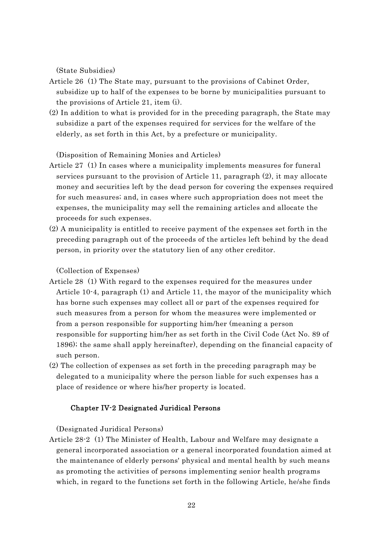(State Subsidies)

- Article 26 (1) The State may, pursuant to the provisions of Cabinet Order, subsidize up to half of the expenses to be borne by municipalities pursuant to the provisions of Article 21, item (i).
- (2) In addition to what is provided for in the preceding paragraph, the State may subsidize a part of the expenses required for services for the welfare of the elderly, as set forth in this Act, by a prefecture or municipality.

(Disposition of Remaining Monies and Articles)

- Article 27 (1) In cases where a municipality implements measures for funeral services pursuant to the provision of Article 11, paragraph (2), it may allocate money and securities left by the dead person for covering the expenses required for such measures; and, in cases where such appropriation does not meet the expenses, the municipality may sell the remaining articles and allocate the proceeds for such expenses.
- (2) A municipality is entitled to receive payment of the expenses set forth in the preceding paragraph out of the proceeds of the articles left behind by the dead person, in priority over the statutory lien of any other creditor.

(Collection of Expenses)

- Article 28 (1) With regard to the expenses required for the measures under Article 10-4, paragraph (1) and Article 11, the mayor of the municipality which has borne such expenses may collect all or part of the expenses required for such measures from a person for whom the measures were implemented or from a person responsible for supporting him/her (meaning a person responsible for supporting him/her as set forth in the Civil Code (Act No. 89 of 1896); the same shall apply hereinafter), depending on the financial capacity of such person.
- (2) The collection of expenses as set forth in the preceding paragraph may be delegated to a municipality where the person liable for such expenses has a place of residence or where his/her property is located.

#### Chapter IV-2 Designated Juridical Persons

(Designated Juridical Persons)

Article 28-2 (1) The Minister of Health, Labour and Welfare may designate a general incorporated association or a general incorporated foundation aimed at the maintenance of elderly persons' physical and mental health by such means as promoting the activities of persons implementing senior health programs which, in regard to the functions set forth in the following Article, he/she finds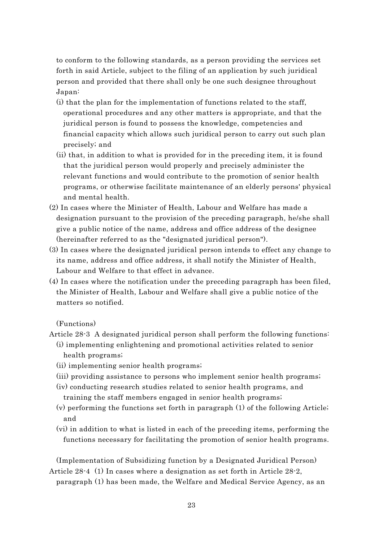to conform to the following standards, as a person providing the services set forth in said Article, subject to the filing of an application by such juridical person and provided that there shall only be one such designee throughout Japan:

- (i) that the plan for the implementation of functions related to the staff, operational procedures and any other matters is appropriate, and that the juridical person is found to possess the knowledge, competencies and financial capacity which allows such juridical person to carry out such plan precisely; and
- (ii) that, in addition to what is provided for in the preceding item, it is found that the juridical person would properly and precisely administer the relevant functions and would contribute to the promotion of senior health programs, or otherwise facilitate maintenance of an elderly persons' physical and mental health.
- (2) In cases where the Minister of Health, Labour and Welfare has made a designation pursuant to the provision of the preceding paragraph, he/she shall give a public notice of the name, address and office address of the designee (hereinafter referred to as the "designated juridical person").
- (3) In cases where the designated juridical person intends to effect any change to its name, address and office address, it shall notify the Minister of Health, Labour and Welfare to that effect in advance.
- (4) In cases where the notification under the preceding paragraph has been filed, the Minister of Health, Labour and Welfare shall give a public notice of the matters so notified.

(Functions)

Article 28-3 A designated juridical person shall perform the following functions:

- (i) implementing enlightening and promotional activities related to senior health programs;
- (ii) implementing senior health programs;
- (iii) providing assistance to persons who implement senior health programs;
- (iv) conducting research studies related to senior health programs, and training the staff members engaged in senior health programs;
- (v) performing the functions set forth in paragraph (1) of the following Article; and
- (vi) in addition to what is listed in each of the preceding items, performing the functions necessary for facilitating the promotion of senior health programs.

(Implementation of Subsidizing function by a Designated Juridical Person) Article 28-4 (1) In cases where a designation as set forth in Article 28-2,

paragraph (1) has been made, the Welfare and Medical Service Agency, as an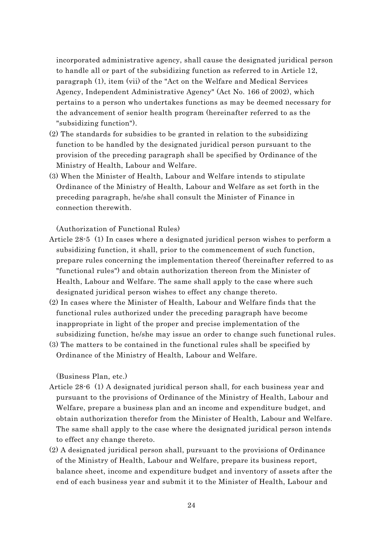incorporated administrative agency, shall cause the designated juridical person to handle all or part of the subsidizing function as referred to in Article 12, paragraph (1), item (vii) of the "Act on the Welfare and Medical Services Agency, Independent Administrative Agency" (Act No. 166 of 2002), which pertains to a person who undertakes functions as may be deemed necessary for the advancement of senior health program (hereinafter referred to as the "subsidizing function").

- (2) The standards for subsidies to be granted in relation to the subsidizing function to be handled by the designated juridical person pursuant to the provision of the preceding paragraph shall be specified by Ordinance of the Ministry of Health, Labour and Welfare.
- (3) When the Minister of Health, Labour and Welfare intends to stipulate Ordinance of the Ministry of Health, Labour and Welfare as set forth in the preceding paragraph, he/she shall consult the Minister of Finance in connection therewith.

(Authorization of Functional Rules)

- Article 28-5 (1) In cases where a designated juridical person wishes to perform a subsidizing function, it shall, prior to the commencement of such function, prepare rules concerning the implementation thereof (hereinafter referred to as "functional rules") and obtain authorization thereon from the Minister of Health, Labour and Welfare. The same shall apply to the case where such designated juridical person wishes to effect any change thereto.
- (2) In cases where the Minister of Health, Labour and Welfare finds that the functional rules authorized under the preceding paragraph have become inappropriate in light of the proper and precise implementation of the subsidizing function, he/she may issue an order to change such functional rules.
- (3) The matters to be contained in the functional rules shall be specified by Ordinance of the Ministry of Health, Labour and Welfare.

(Business Plan, etc.)

- Article 28-6 (1) A designated juridical person shall, for each business year and pursuant to the provisions of Ordinance of the Ministry of Health, Labour and Welfare, prepare a business plan and an income and expenditure budget, and obtain authorization therefor from the Minister of Health, Labour and Welfare. The same shall apply to the case where the designated juridical person intends to effect any change thereto.
- (2) A designated juridical person shall, pursuant to the provisions of Ordinance of the Ministry of Health, Labour and Welfare, prepare its business report, balance sheet, income and expenditure budget and inventory of assets after the end of each business year and submit it to the Minister of Health, Labour and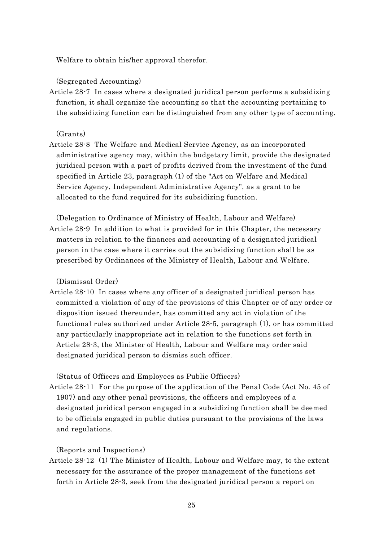Welfare to obtain his/her approval therefor.

(Segregated Accounting)

Article 28-7 In cases where a designated juridical person performs a subsidizing function, it shall organize the accounting so that the accounting pertaining to the subsidizing function can be distinguished from any other type of accounting.

(Grants)

- Article 28-8 The Welfare and Medical Service Agency, as an incorporated administrative agency may, within the budgetary limit, provide the designated juridical person with a part of profits derived from the investment of the fund specified in Article 23, paragraph (1) of the "Act on Welfare and Medical Service Agency, Independent Administrative Agency", as a grant to be allocated to the fund required for its subsidizing function.
- (Delegation to Ordinance of Ministry of Health, Labour and Welfare) Article 28-9 In addition to what is provided for in this Chapter, the necessary matters in relation to the finances and accounting of a designated juridical person in the case where it carries out the subsidizing function shall be as prescribed by Ordinances of the Ministry of Health, Labour and Welfare.

(Dismissal Order)

Article 28-10 In cases where any officer of a designated juridical person has committed a violation of any of the provisions of this Chapter or of any order or disposition issued thereunder, has committed any act in violation of the functional rules authorized under Article 28-5, paragraph (1), or has committed any particularly inappropriate act in relation to the functions set forth in Article 28-3, the Minister of Health, Labour and Welfare may order said designated juridical person to dismiss such officer.

(Status of Officers and Employees as Public Officers)

Article 28-11 For the purpose of the application of the Penal Code (Act No. 45 of 1907) and any other penal provisions, the officers and employees of a designated juridical person engaged in a subsidizing function shall be deemed to be officials engaged in public duties pursuant to the provisions of the laws and regulations.

(Reports and Inspections)

Article 28-12 (1) The Minister of Health, Labour and Welfare may, to the extent necessary for the assurance of the proper management of the functions set forth in Article 28-3, seek from the designated juridical person a report on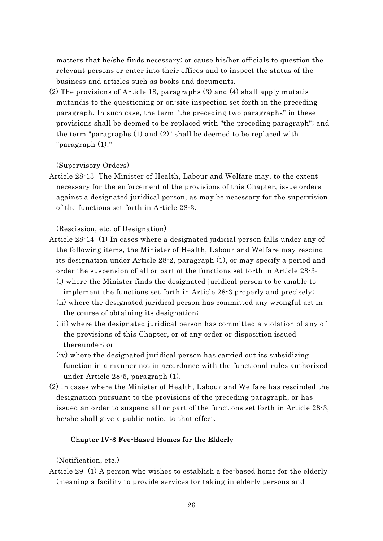matters that he/she finds necessary; or cause his/her officials to question the relevant persons or enter into their offices and to inspect the status of the business and articles such as books and documents.

(2) The provisions of Article 18, paragraphs (3) and (4) shall apply mutatis mutandis to the questioning or on-site inspection set forth in the preceding paragraph. In such case, the term "the preceding two paragraphs" in these provisions shall be deemed to be replaced with "the preceding paragraph"; and the term "paragraphs (1) and (2)" shall be deemed to be replaced with "paragraph (1)."

(Supervisory Orders)

Article 28-13 The Minister of Health, Labour and Welfare may, to the extent necessary for the enforcement of the provisions of this Chapter, issue orders against a designated juridical person, as may be necessary for the supervision of the functions set forth in Article 28-3.

(Rescission, etc. of Designation)

- Article 28-14 (1) In cases where a designated judicial person falls under any of the following items, the Minister of Health, Labour and Welfare may rescind its designation under Article 28-2, paragraph (1), or may specify a period and order the suspension of all or part of the functions set forth in Article 28-3: (i) where the Minister finds the designated juridical person to be unable to
	- implement the functions set forth in Article 28-3 properly and precisely;
	- (ii) where the designated juridical person has committed any wrongful act in the course of obtaining its designation;
	- (iii) where the designated juridical person has committed a violation of any of the provisions of this Chapter, or of any order or disposition issued thereunder; or
	- (iv) where the designated juridical person has carried out its subsidizing function in a manner not in accordance with the functional rules authorized under Article 28-5, paragraph (1).
- (2) In cases where the Minister of Health, Labour and Welfare has rescinded the designation pursuant to the provisions of the preceding paragraph, or has issued an order to suspend all or part of the functions set forth in Article 28-3, he/she shall give a public notice to that effect.

# Chapter IV-3 Fee-Based Homes for the Elderly

(Notification, etc.)

Article 29 (1) A person who wishes to establish a fee-based home for the elderly (meaning a facility to provide services for taking in elderly persons and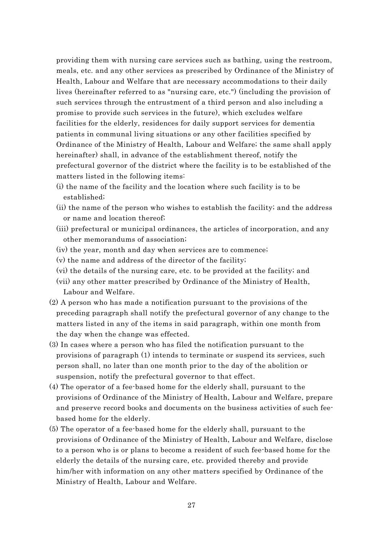providing them with nursing care services such as bathing, using the restroom, meals, etc. and any other services as prescribed by Ordinance of the Ministry of Health, Labour and Welfare that are necessary accommodations to their daily lives (hereinafter referred to as "nursing care, etc.") (including the provision of such services through the entrustment of a third person and also including a promise to provide such services in the future), which excludes welfare facilities for the elderly, residences for daily support services for dementia patients in communal living situations or any other facilities specified by Ordinance of the Ministry of Health, Labour and Welfare; the same shall apply hereinafter) shall, in advance of the establishment thereof, notify the prefectural governor of the district where the facility is to be established of the matters listed in the following items:

- (i) the name of the facility and the location where such facility is to be established;
- (ii) the name of the person who wishes to establish the facility; and the address or name and location thereof;
- (iii) prefectural or municipal ordinances, the articles of incorporation, and any other memorandums of association;
- (iv) the year, month and day when services are to commence;
- (v) the name and address of the director of the facility;
- (vi) the details of the nursing care, etc. to be provided at the facility; and
- (vii) any other matter prescribed by Ordinance of the Ministry of Health, Labour and Welfare.
- (2) A person who has made a notification pursuant to the provisions of the preceding paragraph shall notify the prefectural governor of any change to the matters listed in any of the items in said paragraph, within one month from the day when the change was effected.
- (3) In cases where a person who has filed the notification pursuant to the provisions of paragraph (1) intends to terminate or suspend its services, such person shall, no later than one month prior to the day of the abolition or suspension, notify the prefectural governor to that effect.
- (4) The operator of a fee-based home for the elderly shall, pursuant to the provisions of Ordinance of the Ministry of Health, Labour and Welfare, prepare and preserve record books and documents on the business activities of such feebased home for the elderly.
- (5) The operator of a fee-based home for the elderly shall, pursuant to the provisions of Ordinance of the Ministry of Health, Labour and Welfare, disclose to a person who is or plans to become a resident of such fee-based home for the elderly the details of the nursing care, etc. provided thereby and provide him/her with information on any other matters specified by Ordinance of the Ministry of Health, Labour and Welfare.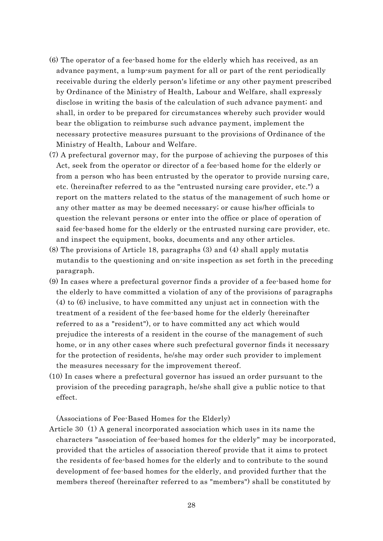- (6) The operator of a fee-based home for the elderly which has received, as an advance payment, a lump-sum payment for all or part of the rent periodically receivable during the elderly person's lifetime or any other payment prescribed by Ordinance of the Ministry of Health, Labour and Welfare, shall expressly disclose in writing the basis of the calculation of such advance payment; and shall, in order to be prepared for circumstances whereby such provider would bear the obligation to reimburse such advance payment, implement the necessary protective measures pursuant to the provisions of Ordinance of the Ministry of Health, Labour and Welfare.
- (7) A prefectural governor may, for the purpose of achieving the purposes of this Act, seek from the operator or director of a fee-based home for the elderly or from a person who has been entrusted by the operator to provide nursing care, etc. (hereinafter referred to as the "entrusted nursing care provider, etc.") a report on the matters related to the status of the management of such home or any other matter as may be deemed necessary; or cause his/her officials to question the relevant persons or enter into the office or place of operation of said fee-based home for the elderly or the entrusted nursing care provider, etc. and inspect the equipment, books, documents and any other articles.
- (8) The provisions of Article 18, paragraphs (3) and (4) shall apply mutatis mutandis to the questioning and on-site inspection as set forth in the preceding paragraph.
- (9) In cases where a prefectural governor finds a provider of a fee-based home for the elderly to have committed a violation of any of the provisions of paragraphs (4) to (6) inclusive, to have committed any unjust act in connection with the treatment of a resident of the fee-based home for the elderly (hereinafter referred to as a "resident"), or to have committed any act which would prejudice the interests of a resident in the course of the management of such home, or in any other cases where such prefectural governor finds it necessary for the protection of residents, he/she may order such provider to implement the measures necessary for the improvement thereof.
- (10) In cases where a prefectural governor has issued an order pursuant to the provision of the preceding paragraph, he/she shall give a public notice to that effect.

(Associations of Fee-Based Homes for the Elderly)

Article 30 (1) A general incorporated association which uses in its name the characters "association of fee-based homes for the elderly" may be incorporated, provided that the articles of association thereof provide that it aims to protect the residents of fee-based homes for the elderly and to contribute to the sound development of fee-based homes for the elderly, and provided further that the members thereof (hereinafter referred to as "members") shall be constituted by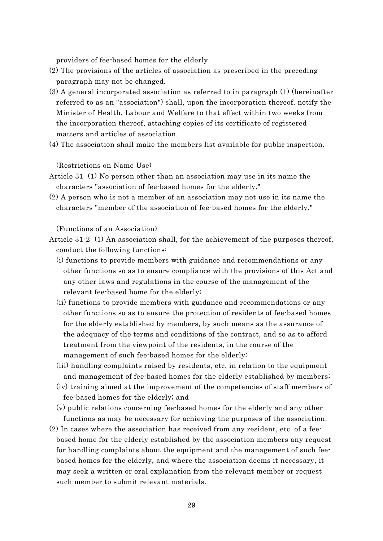providers of fee-based homes for the elderly.

- (2) The provisions of the articles of association as prescribed in the preceding paragraph may not be changed.
- (3) A general incorporated association as referred to in paragraph (1) (hereinafter referred to as an "association") shall, upon the incorporation thereof, notify the Minister of Health, Labour and Welfare to that effect within two weeks from the incorporation thereof, attaching copies of its certificate of registered matters and articles of association.
- (4) The association shall make the members list available for public inspection.

(Restrictions on Name Use)

- Article 31 (1) No person other than an association may use in its name the characters "association of fee-based homes for the elderly."
- (2) A person who is not a member of an association may not use in its name the characters "member of the association of fee-based homes for the elderly."

(Functions of an Association)

- Article 31-2 (1) An association shall, for the achievement of the purposes thereof, conduct the following functions:
	- (i) functions to provide members with guidance and recommendations or any other functions so as to ensure compliance with the provisions of this Act and any other laws and regulations in the course of the management of the relevant fee-based home for the elderly;
	- (ii) functions to provide members with guidance and recommendations or any other functions so as to ensure the protection of residents of fee-based homes for the elderly established by members, by such means as the assurance of the adequacy of the terms and conditions of the contract, and so as to afford treatment from the viewpoint of the residents, in the course of the management of such fee-based homes for the elderly;
	- (iii) handling complaints raised by residents, etc. in relation to the equipment and management of fee-based homes for the elderly established by members;
	- (iv) training aimed at the improvement of the competencies of staff members of fee-based homes for the elderly; and
	- (v) public relations concerning fee-based homes for the elderly and any other functions as may be necessary for achieving the purposes of the association.
- (2) In cases where the association has received from any resident, etc. of a feebased home for the elderly established by the association members any request for handling complaints about the equipment and the management of such feebased homes for the elderly, and where the association deems it necessary, it may seek a written or oral explanation from the relevant member or request such member to submit relevant materials.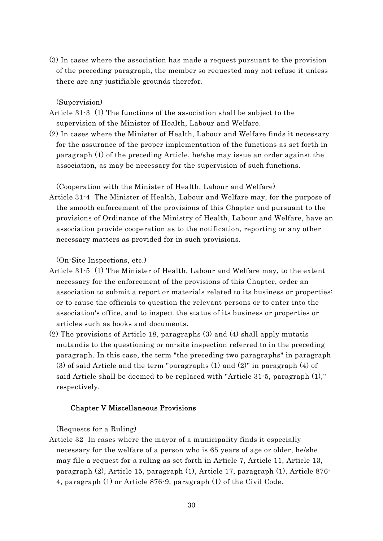(3) In cases where the association has made a request pursuant to the provision of the preceding paragraph, the member so requested may not refuse it unless there are any justifiable grounds therefor.

(Supervision)

- Article 31-3 (1) The functions of the association shall be subject to the supervision of the Minister of Health, Labour and Welfare.
- (2) In cases where the Minister of Health, Labour and Welfare finds it necessary for the assurance of the proper implementation of the functions as set forth in paragraph (1) of the preceding Article, he/she may issue an order against the association, as may be necessary for the supervision of such functions.

(Cooperation with the Minister of Health, Labour and Welfare)

Article 31-4 The Minister of Health, Labour and Welfare may, for the purpose of the smooth enforcement of the provisions of this Chapter and pursuant to the provisions of Ordinance of the Ministry of Health, Labour and Welfare, have an association provide cooperation as to the notification, reporting or any other necessary matters as provided for in such provisions.

(On-Site Inspections, etc.)

- Article 31-5 (1) The Minister of Health, Labour and Welfare may, to the extent necessary for the enforcement of the provisions of this Chapter, order an association to submit a report or materials related to its business or properties; or to cause the officials to question the relevant persons or to enter into the association's office, and to inspect the status of its business or properties or articles such as books and documents.
- (2) The provisions of Article 18, paragraphs (3) and (4) shall apply mutatis mutandis to the questioning or on-site inspection referred to in the preceding paragraph. In this case, the term "the preceding two paragraphs" in paragraph (3) of said Article and the term "paragraphs (1) and (2)" in paragraph (4) of said Article shall be deemed to be replaced with "Article 31-5, paragraph (1)," respectively.

# Chapter V Miscellaneous Provisions

(Requests for a Ruling)

Article 32 In cases where the mayor of a municipality finds it especially necessary for the welfare of a person who is 65 years of age or older, he/she may file a request for a ruling as set forth in Article 7, Article 11, Article 13, paragraph (2), Article 15, paragraph (1), Article 17, paragraph (1), Article 876- 4, paragraph (1) or Article 876-9, paragraph (1) of the Civil Code.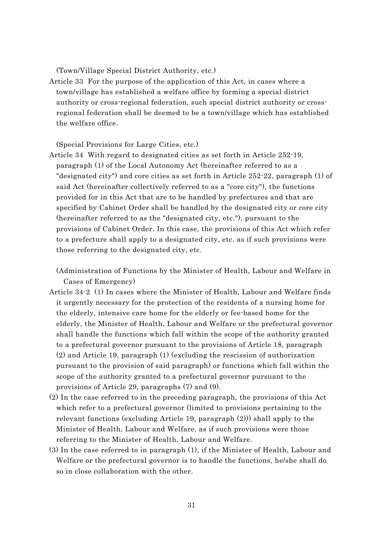(Town/Village Special District Authority, etc.)

Article 33 For the purpose of the application of this Act, in cases where a town/village has established a welfare office by forming a special district authority or cross-regional federation, such special district authority or crossregional federation shall be deemed to be a town/village which has established the welfare office.

(Special Provisions for Large Cities, etc.)

Article 34 With regard to designated cities as set forth in Article 252-19, paragraph (1) of the Local Autonomy Act (hereinafter referred to as a "designated city") and core cities as set forth in Article 252-22, paragraph (1) of said Act (hereinafter collectively referred to as a "core city"), the functions provided for in this Act that are to be handled by prefectures and that are specified by Cabinet Order shall be handled by the designated city or core city (hereinafter referred to as the "designated city, etc."), pursuant to the provisions of Cabinet Order. In this case, the provisions of this Act which refer to a prefecture shall apply to a designated city, etc. as if such provisions were those referring to the designated city, etc.

(Administration of Functions by the Minister of Health, Labour and Welfare in Cases of Emergency)

- Article 34-2 (1) In cases where the Minister of Health, Labour and Welfare finds it urgently necessary for the protection of the residents of a nursing home for the elderly, intensive care home for the elderly or fee-based home for the elderly, the Minister of Health, Labour and Welfare or the prefectural governor shall handle the functions which fall within the scope of the authority granted to a prefectural governor pursuant to the provisions of Article 18, paragraph (2) and Article 19, paragraph (1) (excluding the rescission of authorization pursuant to the provision of said paragraph) or functions which fall within the scope of the authority granted to a prefectural governor pursuant to the provisions of Article 29, paragraphs (7) and (9).
- (2) In the case referred to in the preceding paragraph, the provisions of this Act which refer to a prefectural governor (limited to provisions pertaining to the relevant functions (excluding Article 19, paragraph (2))) shall apply to the Minister of Health, Labour and Welfare, as if such provisions were those referring to the Minister of Health, Labour and Welfare.
- (3) In the case referred to in paragraph (1), if the Minister of Health, Labour and Welfare or the prefectural governor is to handle the functions, he/she shall do so in close collaboration with the other.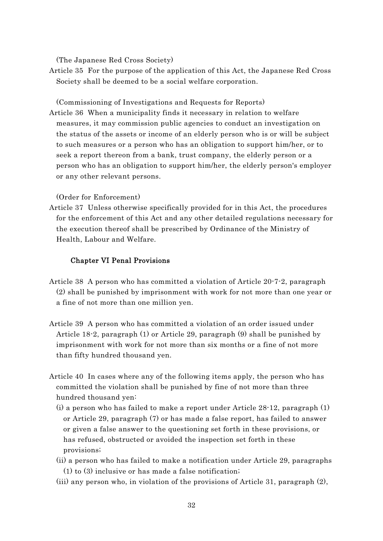(The Japanese Red Cross Society)

Article 35 For the purpose of the application of this Act, the Japanese Red Cross Society shall be deemed to be a social welfare corporation.

(Commissioning of Investigations and Requests for Reports) Article 36 When a municipality finds it necessary in relation to welfare measures, it may commission public agencies to conduct an investigation on the status of the assets or income of an elderly person who is or will be subject to such measures or a person who has an obligation to support him/her, or to seek a report thereon from a bank, trust company, the elderly person or a person who has an obligation to support him/her, the elderly person's employer or any other relevant persons.

### (Order for Enforcement)

Article 37 Unless otherwise specifically provided for in this Act, the procedures for the enforcement of this Act and any other detailed regulations necessary for the execution thereof shall be prescribed by Ordinance of the Ministry of Health, Labour and Welfare.

### Chapter VI Penal Provisions

- Article 38 A person who has committed a violation of Article 20-7-2, paragraph (2) shall be punished by imprisonment with work for not more than one year or a fine of not more than one million yen.
- Article 39 A person who has committed a violation of an order issued under Article 18-2, paragraph (1) or Article 29, paragraph (9) shall be punished by imprisonment with work for not more than six months or a fine of not more than fifty hundred thousand yen.
- Article 40 In cases where any of the following items apply, the person who has committed the violation shall be punished by fine of not more than three hundred thousand yen:
	- (i) a person who has failed to make a report under Article 28-12, paragraph (1) or Article 29, paragraph (7) or has made a false report, has failed to answer or given a false answer to the questioning set forth in these provisions, or has refused, obstructed or avoided the inspection set forth in these provisions;
	- (ii) a person who has failed to make a notification under Article 29, paragraphs (1) to (3) inclusive or has made a false notification;
	- (iii) any person who, in violation of the provisions of Article 31, paragraph (2),